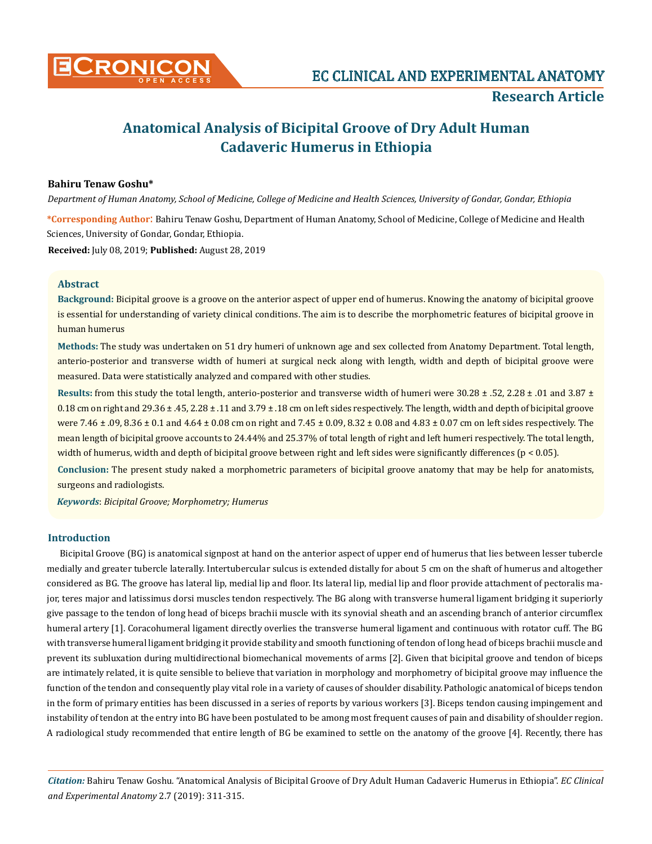

# **Anatomical Analysis of Bicipital Groove of Dry Adult Human Cadaveric Humerus in Ethiopia**

# **Bahiru Tenaw Goshu\***

*Department of Human Anatomy, School of Medicine, College of Medicine and Health Sciences, University of Gondar, Gondar, Ethiopia* 

**\*Corresponding Author**: Bahiru Tenaw Goshu, Department of Human Anatomy, School of Medicine, College of Medicine and Health Sciences, University of Gondar, Gondar, Ethiopia. **Received:** July 08, 2019; **Published:** August 28, 2019

**Abstract**

**Background:** Bicipital groove is a groove on the anterior aspect of upper end of humerus. Knowing the anatomy of bicipital groove is essential for understanding of variety clinical conditions. The aim is to describe the morphometric features of bicipital groove in human humerus

**Methods:** The study was undertaken on 51 dry humeri of unknown age and sex collected from Anatomy Department. Total length, anterio-posterior and transverse width of humeri at surgical neck along with length, width and depth of bicipital groove were measured. Data were statistically analyzed and compared with other studies.

**Results:** from this study the total length, anterio-posterior and transverse width of humeri were 30.28 ± .52, 2.28 ± .01 and 3.87 ± 0.18 cm on right and 29.36  $\pm$  .45, 2.28  $\pm$  .11 and 3.79  $\pm$  .18 cm on left sides respectively. The length, width and depth of bicipital groove were 7.46 ± .09, 8.36 ± 0.1 and 4.64 ± 0.08 cm on right and 7.45 ± 0.09, 8.32 ± 0.08 and 4.83 ± 0.07 cm on left sides respectively. The mean length of bicipital groove accounts to 24.44% and 25.37% of total length of right and left humeri respectively. The total length, width of humerus, width and depth of bicipital groove between right and left sides were significantly differences (p < 0.05).

**Conclusion:** The present study naked a morphometric parameters of bicipital groove anatomy that may be help for anatomists, surgeons and radiologists.

*Keywords*: *Bicipital Groove; Morphometry; Humerus*

## **Introduction**

Bicipital Groove (BG) is anatomical signpost at hand on the anterior aspect of upper end of humerus that lies between lesser tubercle medially and greater tubercle laterally. Intertubercular sulcus is extended distally for about 5 cm on the shaft of humerus and altogether considered as BG. The groove has lateral lip, medial lip and floor. Its lateral lip, medial lip and floor provide attachment of pectoralis major, teres major and latissimus dorsi muscles tendon respectively. The BG along with transverse humeral ligament bridging it superiorly give passage to the tendon of long head of biceps brachii muscle with its synovial sheath and an ascending branch of anterior circumflex humeral artery [1]. Coracohumeral ligament directly overlies the transverse humeral ligament and continuous with rotator cuff. The BG with transverse humeral ligament bridging it provide stability and smooth functioning of tendon of long head of biceps brachii muscle and prevent its subluxation during multidirectional biomechanical movements of arms [2]. Given that bicipital groove and tendon of biceps are intimately related, it is quite sensible to believe that variation in morphology and morphometry of bicipital groove may influence the function of the tendon and consequently play vital role in a variety of causes of shoulder disability. Pathologic anatomical of biceps tendon in the form of primary entities has been discussed in a series of reports by various workers [3]. Biceps tendon causing impingement and instability of tendon at the entry into BG have been postulated to be among most frequent causes of pain and disability of shoulder region. A radiological study recommended that entire length of BG be examined to settle on the anatomy of the groove [4]. Recently, there has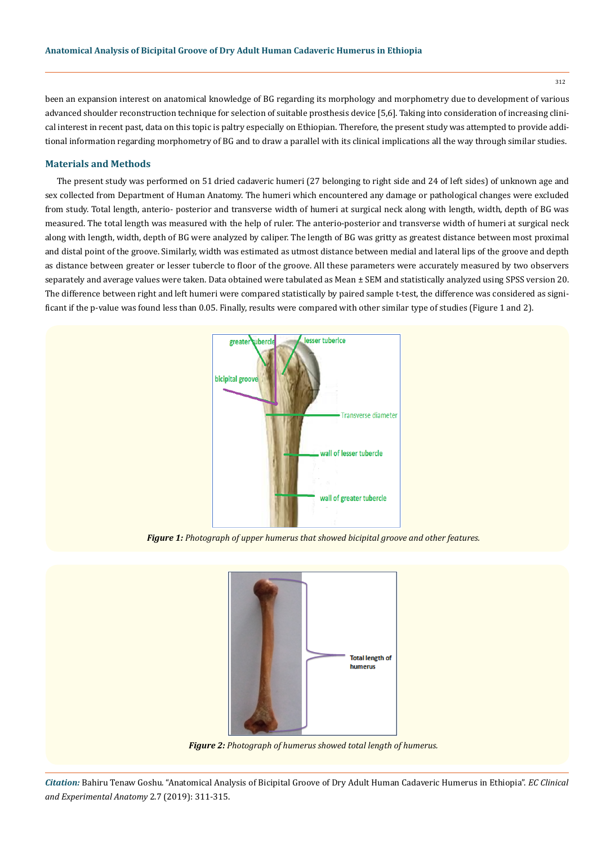been an expansion interest on anatomical knowledge of BG regarding its morphology and morphometry due to development of various advanced shoulder reconstruction technique for selection of suitable prosthesis device [5,6]. Taking into consideration of increasing clinical interest in recent past, data on this topic is paltry especially on Ethiopian. Therefore, the present study was attempted to provide additional information regarding morphometry of BG and to draw a parallel with its clinical implications all the way through similar studies.

# **Materials and Methods**

The present study was performed on 51 dried cadaveric humeri (27 belonging to right side and 24 of left sides) of unknown age and sex collected from Department of Human Anatomy. The humeri which encountered any damage or pathological changes were excluded from study. Total length, anterio- posterior and transverse width of humeri at surgical neck along with length, width, depth of BG was measured. The total length was measured with the help of ruler. The anterio-posterior and transverse width of humeri at surgical neck along with length, width, depth of BG were analyzed by caliper. The length of BG was gritty as greatest distance between most proximal and distal point of the groove. Similarly, width was estimated as utmost distance between medial and lateral lips of the groove and depth as distance between greater or lesser tubercle to floor of the groove. All these parameters were accurately measured by two observers separately and average values were taken. Data obtained were tabulated as Mean ± SEM and statistically analyzed using SPSS version 20. The difference between right and left humeri were compared statistically by paired sample t-test, the difference was considered as significant if the p-value was found less than 0.05. Finally, results were compared with other similar type of studies (Figure 1 and 2).



*Figure 1: Photograph of upper humerus that showed bicipital groove and other features.*



*Figure 2: Photograph of humerus showed total length of humerus.*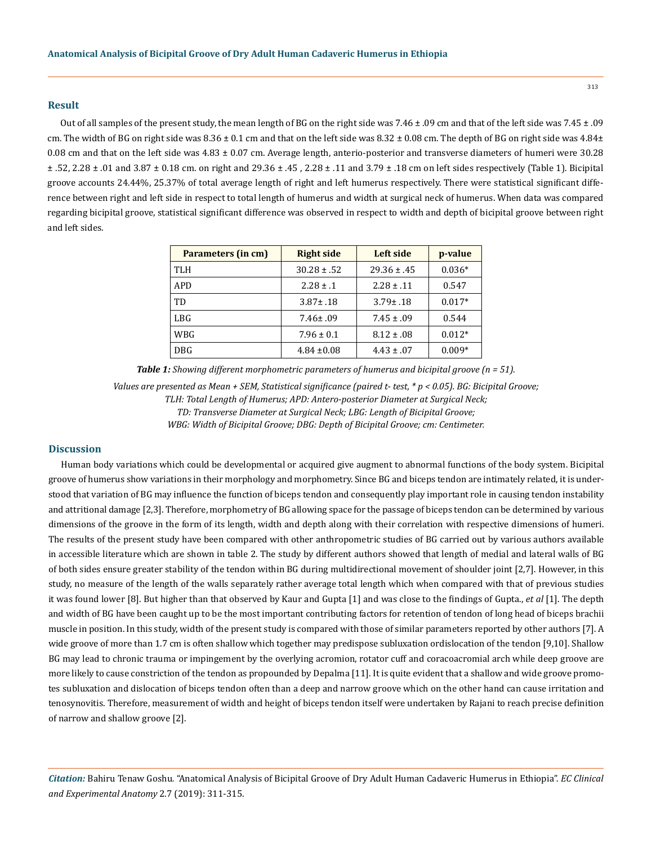# **Result**

Out of all samples of the present study, the mean length of BG on the right side was 7.46 ± .09 cm and that of the left side was 7.45 ± .09 cm. The width of BG on right side was  $8.36 \pm 0.1$  cm and that on the left side was  $8.32 \pm 0.08$  cm. The depth of BG on right side was  $4.84\pm$ 0.08 cm and that on the left side was 4.83 ± 0.07 cm. Average length, anterio-posterior and transverse diameters of humeri were 30.28 ± .52, 2.28 ± .01 and 3.87 ± 0.18 cm. on right and 29.36 ± .45 , 2.28 ± .11 and 3.79 ± .18 cm on left sides respectively (Table 1). Bicipital groove accounts 24.44%, 25.37% of total average length of right and left humerus respectively. There were statistical significant difference between right and left side in respect to total length of humerus and width at surgical neck of humerus. When data was compared regarding bicipital groove, statistical significant difference was observed in respect to width and depth of bicipital groove between right and left sides.

| Parameters (in cm) | <b>Right side</b> | Left side       | p-value  |
|--------------------|-------------------|-----------------|----------|
| TLH                | $30.28 \pm .52$   | $29.36 \pm .45$ | $0.036*$ |
| APD                | $2.28 \pm .1$     | $2.28 \pm .11$  | 0.547    |
| <b>TD</b>          | $3.87 \pm .18$    | $3.79 \pm .18$  | $0.017*$ |
| <b>LBG</b>         | $7.46 \pm .09$    | $7.45 \pm .09$  | 0.544    |
| WBG                | $7.96 \pm 0.1$    | $8.12 \pm .08$  | $0.012*$ |
| <b>DBG</b>         | $4.84 \pm 0.08$   | $4.43 \pm .07$  | $0.009*$ |

*Table 1: Showing different morphometric parameters of humerus and bicipital groove (n = 51).*

*Values are presented as Mean + SEM, Statistical significance (paired t- test, \* p < 0.05). BG: Bicipital Groove; TLH: Total Length of Humerus; APD: Antero-posterior Diameter at Surgical Neck; TD: Transverse Diameter at Surgical Neck; LBG: Length of Bicipital Groove; WBG: Width of Bicipital Groove; DBG: Depth of Bicipital Groove; cm: Centimeter.*

## **Discussion**

Human body variations which could be developmental or acquired give augment to abnormal functions of the body system. Bicipital groove of humerus show variations in their morphology and morphometry. Since BG and biceps tendon are intimately related, it is understood that variation of BG may influence the function of biceps tendon and consequently play important role in causing tendon instability and attritional damage [2,3]. Therefore, morphometry of BG allowing space for the passage of biceps tendon can be determined by various dimensions of the groove in the form of its length, width and depth along with their correlation with respective dimensions of humeri. The results of the present study have been compared with other anthropometric studies of BG carried out by various authors available in accessible literature which are shown in table 2. The study by different authors showed that length of medial and lateral walls of BG of both sides ensure greater stability of the tendon within BG during multidirectional movement of shoulder joint [2,7]. However, in this study, no measure of the length of the walls separately rather average total length which when compared with that of previous studies it was found lower [8]. But higher than that observed by Kaur and Gupta [1] and was close to the findings of Gupta., *et al* [1]. The depth and width of BG have been caught up to be the most important contributing factors for retention of tendon of long head of biceps brachii muscle in position. In this study, width of the present study is compared with those of similar parameters reported by other authors [7]. A wide groove of more than 1.7 cm is often shallow which together may predispose subluxation ordislocation of the tendon [9,10]. Shallow BG may lead to chronic trauma or impingement by the overlying acromion, rotator cuff and coracoacromial arch while deep groove are more likely to cause constriction of the tendon as propounded by Depalma [11]. It is quite evident that a shallow and wide groove promotes subluxation and dislocation of biceps tendon often than a deep and narrow groove which on the other hand can cause irritation and tenosynovitis. Therefore, measurement of width and height of biceps tendon itself were undertaken by Rajani to reach precise definition of narrow and shallow groove [2].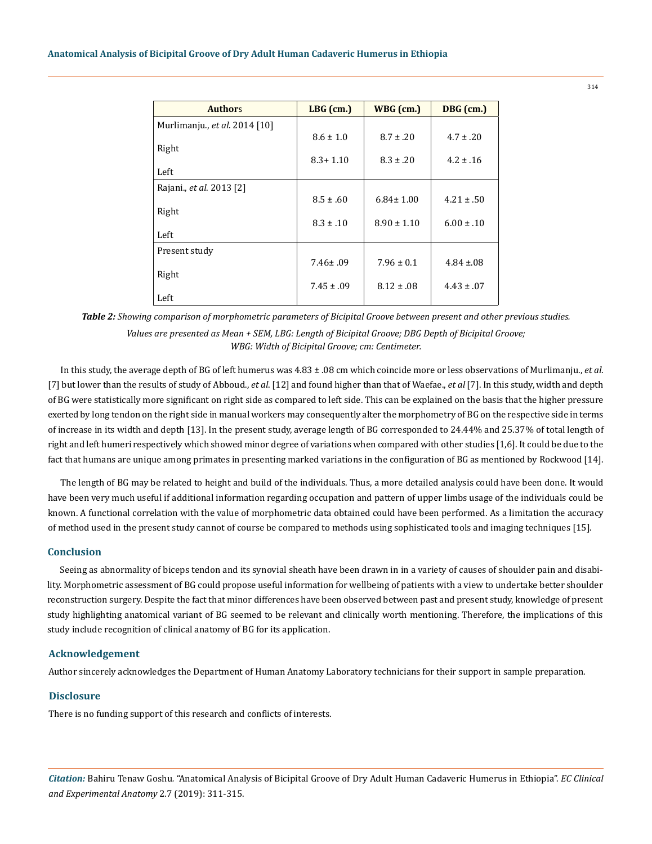| <b>Authors</b>                | $LBG$ (cm.)    | WBG (cm.)       | DBG (cm.)       |
|-------------------------------|----------------|-----------------|-----------------|
| Murlimanju., et al. 2014 [10] |                |                 |                 |
|                               | $8.6 \pm 1.0$  | $8.7 \pm .20$   | $4.7 \pm .20$   |
| Right                         | $8.3 + 1.10$   | $8.3 \pm .20$   | $4.2 \pm .16$   |
| Left                          |                |                 |                 |
| Rajani., et al. 2013 [2]      |                |                 |                 |
|                               | $8.5 \pm .60$  | $6.84 \pm 1.00$ | $4.21 \pm .50$  |
| Right                         | $8.3 \pm .10$  | $8.90 \pm 1.10$ | $6.00 \pm .10$  |
| Left                          |                |                 |                 |
| Present study                 |                |                 |                 |
|                               | $7.46 \pm .09$ | $7.96 \pm 0.1$  | $4.84 \pm 0.08$ |
| Right                         | $7.45 \pm .09$ | $8.12 \pm .08$  | $4.43 \pm .07$  |
| Left                          |                |                 |                 |

*Table 2: Showing comparison of morphometric parameters of Bicipital Groove between present and other previous studies. Values are presented as Mean + SEM, LBG: Length of Bicipital Groove; DBG Depth of Bicipital Groove; WBG: Width of Bicipital Groove; cm: Centimeter.*

In this study, the average depth of BG of left humerus was 4.83 ± .08 cm which coincide more or less observations of Murlimanju., *et al*. [7] but lower than the results of study of Abboud., *et al*. [12] and found higher than that of Waefae., *et al* [7]. In this study, width and depth of BG were statistically more significant on right side as compared to left side. This can be explained on the basis that the higher pressure exerted by long tendon on the right side in manual workers may consequently alter the morphometry of BG on the respective side in terms of increase in its width and depth [13]. In the present study, average length of BG corresponded to 24.44% and 25.37% of total length of right and left humeri respectively which showed minor degree of variations when compared with other studies [1,6]. It could be due to the fact that humans are unique among primates in presenting marked variations in the configuration of BG as mentioned by Rockwood [14].

The length of BG may be related to height and build of the individuals. Thus, a more detailed analysis could have been done. It would have been very much useful if additional information regarding occupation and pattern of upper limbs usage of the individuals could be known. A functional correlation with the value of morphometric data obtained could have been performed. As a limitation the accuracy of method used in the present study cannot of course be compared to methods using sophisticated tools and imaging techniques [15].

## **Conclusion**

Seeing as abnormality of biceps tendon and its synovial sheath have been drawn in in a variety of causes of shoulder pain and disability. Morphometric assessment of BG could propose useful information for wellbeing of patients with a view to undertake better shoulder reconstruction surgery. Despite the fact that minor differences have been observed between past and present study, knowledge of present study highlighting anatomical variant of BG seemed to be relevant and clinically worth mentioning. Therefore, the implications of this study include recognition of clinical anatomy of BG for its application.

#### **Acknowledgement**

Author sincerely acknowledges the Department of Human Anatomy Laboratory technicians for their support in sample preparation.

## **Disclosure**

There is no funding support of this research and conflicts of interests.